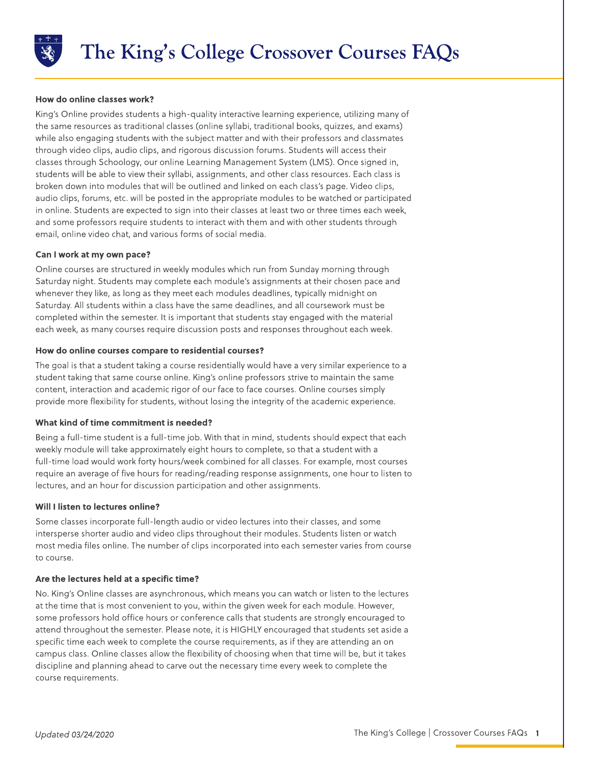

## How do online classes work?

King?s Online provides students a high-quality interactive learning experience, utilizing many of the same resources as traditional classes (online syllabi, traditional books, quizzes, and exams) while also engaging students with the subject matter and with their professors and classmates through video clips, audio clips, and rigorous discussion forums. Students will access their classes through Schoology, our online Learning Management System (LMS). Once signed in, students will be able to view their syllabi, assignments, and other class resources. Each class is broken down into modules that will be outlined and linked on each class's page. Video clips, audio clips, forums, etc. will be posted in the appropriate modules to be watched or participated in online. Students are expected to sign into their classes at least two or three times each week, and some professors require students to interact with them and with other students through email, online video chat, and various forms of social media.

## Can I work at my own pace?

Online courses are structured in weekly modules which run from Sunday morning through Saturday night. Students may complete each module's assignments at their chosen pace and whenever they like, as long as they meet each modules deadlines, typically midnight on Saturday. All students within a class have the same deadlines, and all coursework must be completed within the semester. It is important that students stay engaged with the material each week, as many courses require discussion posts and responses throughout each week.

## How do online courses compare to residential courses?

The goal is that a student taking a course residentially would have a very similar experience to a student taking that same course online. King's online professors strive to maintain the same content, interaction and academic rigor of our face to face courses. Online courses simply provide more flexibility for students, without losing the integrity of the academic experience.

### What kind of time commitment is needed?

Being a full-time student is a full-time job. With that in mind, students should expect that each weekly module will take approximately eight hours to complete, so that a student with a full-time load would work forty hours/week combined for all classes. For example, most courses require an average of five hours for reading/reading response assignments, one hour to listen to lectures, and an hour for discussion participation and other assignments.

# Will I listen to lectures online?

Some classes incorporate full-length audio or video lectures into their classes, and some intersperse shorter audio and video clips throughout their modules. Students listen or watch most media files online. The number of clips incorporated into each semester varies from course to course.

### Are the lectures held at a specific time?

No. King?s Online classes are asynchronous, which means you can watch or listen to the lectures at the time that is most convenient to you, within the given week for each module. However, some professors hold office hours or conference calls that students are strongly encouraged to attend throughout the semester. Please note, it is HIGHLYencouraged that students set aside a specific time each week to complete the course requirements, as if they are attending an on campus class. Online classes allow the flexibility of choosing when that time will be, but it takes discipline and planning ahead to carve out the necessary time every week to complete the course requirements.